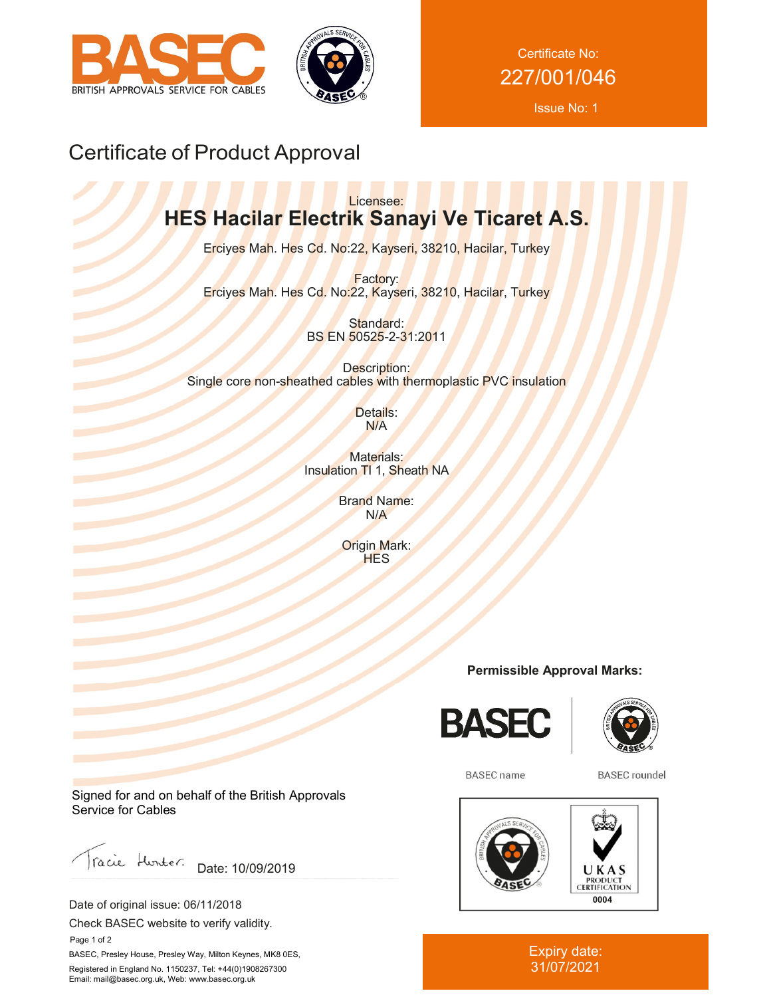



Certificate No: 227/001/046

Issue No: 1

# Certificate of Product Approval

# Licensee: **HES Hacilar Electrik Sanayi Ve Ticaret A.S.**

Erciyes Mah. Hes Cd. No:22, Kayseri, 38210, Hacilar, Turkey

Factory: Erciyes Mah. Hes Cd. No:22, Kayseri, 38210, Hacilar, Turkey

> Standard: BS EN 50525-2-31:2011

Description: Single core non-sheathed cables with thermoplastic PVC insulation

> Details: N/A

Materials: Insulation TI 1, Sheath NA

> Brand Name: N/A

Origin Mark: **HES** 

## **Permissible Approval Marks:**





**BASEC** name

**BASEC** roundel



Expiry date: 31/07/2021

Signed for and on behalf of the British Approvals Service for Cables

racie Hunter. Date: 10/09/2019

Date of original issue: 06/11/2018

Check BASEC website to verify validity.

 Page 1 of 2 BASEC, Presley House, Presley Way, Milton Keynes, MK8 0ES, Registered in England No. 1150237, Tel: +44(0)1908267300 Email: mail@basec.org.uk, Web: www.basec.org.uk